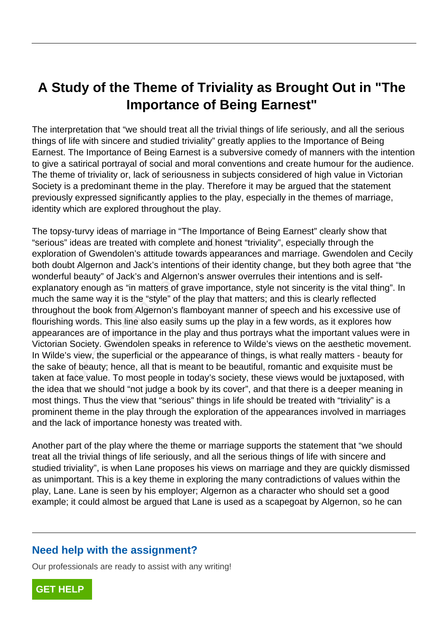## **A Study of the Theme of Triviality as Brought Out in "The Importance of Being Earnest"**

The interpretation that "we should treat all the trivial things of life seriously, and all the serious things of life with sincere and studied triviality" greatly applies to the Importance of Being Earnest. The Importance of Being Earnest is a subversive comedy of manners with the intention to give a satirical portrayal of social and moral conventions and create humour for the audience. The theme of triviality or, lack of seriousness in subjects considered of high value in Victorian Society is a predominant theme in the play. Therefore it may be argued that the statement previously expressed significantly applies to the play, especially in the themes of marriage, identity which are explored throughout the play.

The topsy-turvy ideas of marriage in "The Importance of Being Earnest" clearly show that "serious" ideas are treated with complete and honest "triviality", especially through the exploration of Gwendolen's attitude towards appearances and marriage. Gwendolen and Cecily both doubt Algernon and Jack's intentions of their identity change, but they both agree that "the wonderful beauty" of Jack's and Algernon's answer overrules their intentions and is selfexplanatory enough as "in matters of grave importance, style not sincerity is the vital thing". In much the same way it is the "style" of the play that matters; and this is clearly reflected throughout the book from Algernon's flamboyant manner of speech and his excessive use of flourishing words. This line also easily sums up the play in a few words, as it explores how appearances are of importance in the play and thus portrays what the important values were in Victorian Society. Gwendolen speaks in reference to Wilde's views on the aesthetic movement. In Wilde's view, the superficial or the appearance of things, is what really matters - beauty for the sake of beauty; hence, all that is meant to be beautiful, romantic and exquisite must be taken at face value. To most people in today's society, these views would be juxtaposed, with the idea that we should "not judge a book by its cover", and that there is a deeper meaning in most things. Thus the view that "serious" things in life should be treated with "triviality" is a prominent theme in the play through the exploration of the appearances involved in marriages and the lack of importance honesty was treated with. The importance in The importance and horors are treated with complete and horors of Gwendolen's attitude towards appetically" of Jack's intentions of their beauty" of Jack's and Algernon's answight provide the "style" of t

Another part of the play where the theme or marriage supports the statement that "we should treat all the trivial things of life seriously, and all the serious things of life with sincere and studied triviality", is when Lane proposes his views on marriage and they are quickly dismissed as unimportant. This is a key theme in exploring the many contradictions of values within the play, Lane. Lane is seen by his employer; Algernon as a character who should set a good example; it could almost be argued that Lane is used as a scapegoat by Algernon, so he can

## **Need help with the assignment?**

Our professionals are ready to assist with any writing!

**[GET HELP](https://my.gradesfixer.com/order?utm_campaign=pdf_sample)**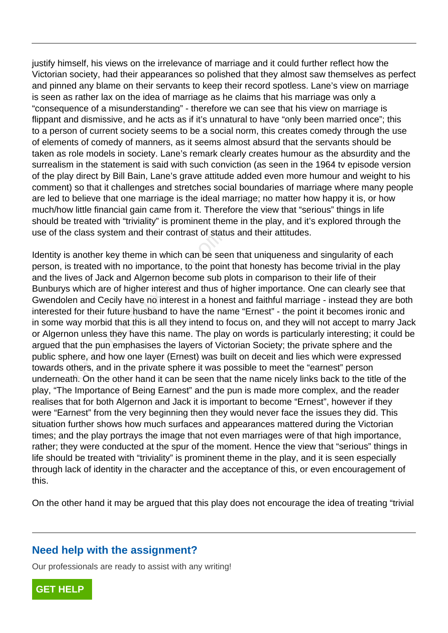justify himself, his views on the irrelevance of marriage and it could further reflect how the Victorian society, had their appearances so polished that they almost saw themselves as perfect and pinned any blame on their servants to keep their record spotless. Lane's view on marriage is seen as rather lax on the idea of marriage as he claims that his marriage was only a "consequence of a misunderstanding" - therefore we can see that his view on marriage is flippant and dismissive, and he acts as if it's unnatural to have "only been married once"; this to a person of current society seems to be a social norm, this creates comedy through the use of elements of comedy of manners, as it seems almost absurd that the servants should be taken as role models in society. Lane's remark clearly creates humour as the absurdity and the surrealism in the statement is said with such conviction (as seen in the 1964 tv episode version of the play direct by Bill Bain, Lane's grave attitude added even more humour and weight to his comment) so that it challenges and stretches social boundaries of marriage where many people are led to believe that one marriage is the ideal marriage; no matter how happy it is, or how much/how little financial gain came from it. Therefore the view that "serious" things in life should be treated with "triviality" is prominent theme in the play, and it's explored through the use of the class system and their contrast of status and their attitudes.

Identity is another key theme in which can be seen that uniqueness and singularity of each person, is treated with no importance, to the point that honesty has become trivial in the play and the lives of Jack and Algernon become sub plots in comparison to their life of their Bunburys which are of higher interest and thus of higher importance. One can clearly see that Gwendolen and Cecily have no interest in a honest and faithful marriage - instead they are both interested for their future husband to have the name "Ernest" - the point it becomes ironic and in some way morbid that this is all they intend to focus on, and they will not accept to marry Jack or Algernon unless they have this name. The play on words is particularly interesting; it could be argued that the pun emphasises the layers of Victorian Society; the private sphere and the public sphere, and how one layer (Ernest) was built on deceit and lies which were expressed towards others, and in the private sphere it was possible to meet the "earnest" person underneath. On the other hand it can be seen that the name nicely links back to the title of the play, "The Importance of Being Earnest" and the pun is made more complex, and the reader realises that for both Algernon and Jack it is important to become "Ernest", however if they were "Earnest" from the very beginning then they would never face the issues they did. This situation further shows how much surfaces and appearances mattered during the Victorian times; and the play portrays the image that not even marriages were of that high importance, rather; they were conducted at the spur of the moment. Hence the view that "serious" things in life should be treated with "triviality" is prominent theme in the play, and it is seen especially through lack of identity in the character and the acceptance of this, or even encouragement of this. class system and their contrast of statt<br>another key theme in which can be see<br>treated with no importance, to the poin<br>es of Jack and Algernon become sub p<br>which are of higher interest and thus of<br>n and Cecily have no inte

On the other hand it may be argued that this play does not encourage the idea of treating "trivial

## **Need help with the assignment?**

Our professionals are ready to assist with any writing!